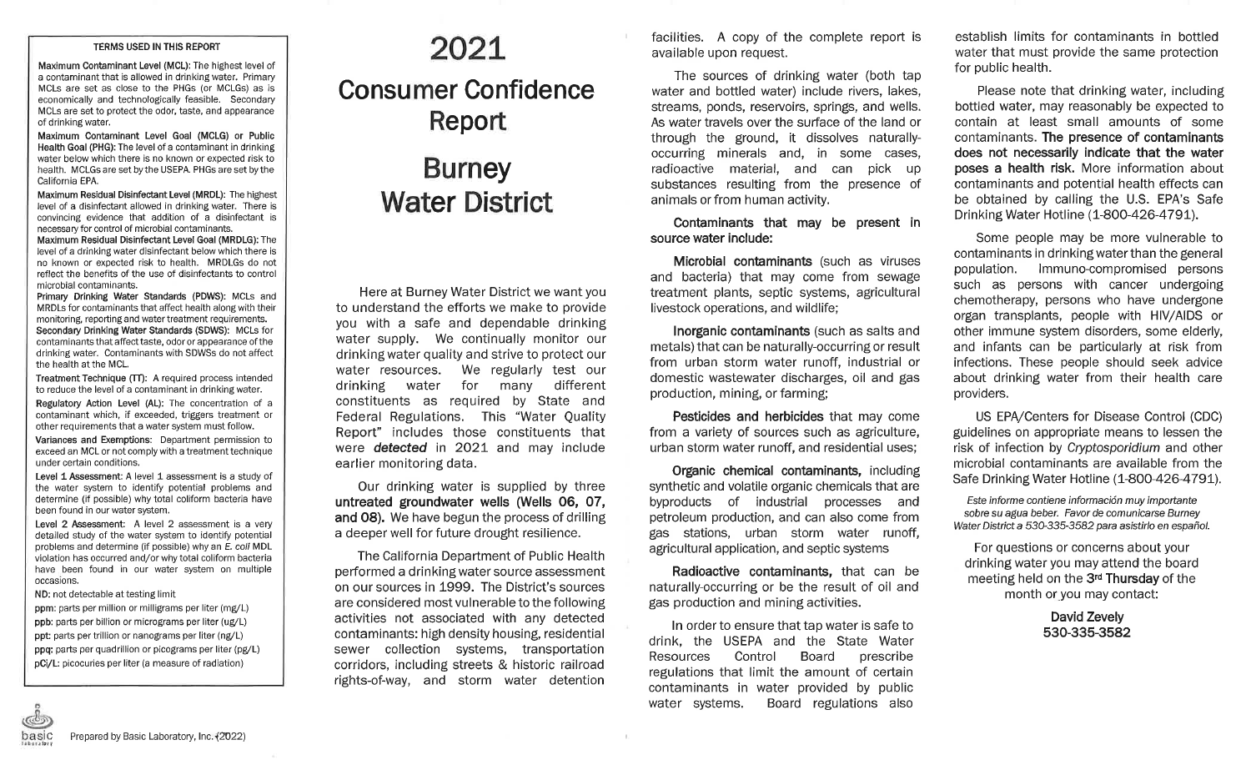## TERMS USED IN THIS REPORT

Maximum Contaminant Level (MCL): The highest level of a contaminant that is allowed in drinking water. Primary MCLs are set as close to the PHGs (or MCLGs) as is economically and technologically feasible. Secondary MCLS are set to protect the odor, taste, and appearance of drinking water.

Maximum Contaminant Level Goal (MCLG) or Public Health Goal (PHG): The level of a contaminant in drinking water below which there is no known or expected risk to health. MCLGS are set by the USEPA. PHGs are set by the California EPA.

Maximum Residual Disinfectant Level (MRDL): The highest level of a disinfectant allowed in drinking water. There is convincing evidence that addition of a disinfectant is necessary for control of microbial contaminants.

Maximum Residual Disinfectant Level Goal (MRDLG): The level of a drinking water disinfectant below which there is no known or expected risk to health. MRDLGS do not reflect the benefits of the use of disinfectants to control microbial contaminants.

Primary Drinking Water Standards (PDWS): MCLs and MRDLs for contaminants that affect health along with their monitoring, reporting and water treatment requirements. Secondary Drinking Water Standards (SDWS): MCLs for contaminants that affect taste, odor or appearance of the drinking water. Contaminants with SDWSs do not affect the health at the MCL.

Treatment Technique (TT): A required process intended to reduce the level of a contaminant in drinking water.

Regulatory Action Level (AL): The concentration of <sup>a</sup> contaminant which, if exceeded, triggers treatment or other requirements that a water system must follow.

Variances and Exemptions: Department permission to exceed an MCL or not comply with a treatment technique under certain conditions.

Level 1 Assessment: A level 1 assessment is a study of the water system to identify potential problems and determine (if possible) why total coliform bacteria have been found in our water system.

Level 2 Assessment: A level 2 assessment is a very detailed study of the water system to identify potential problems and determine (if possible) why an E, coli MDL violation has occurred and/orwhytotal coliform bacteria have been found in our water system on multiple occasions.

ND: not detectable at testing limit

ppm: parts per million or milligrams per liter (mg/L) ppb: parts per billion or micrograms per liter (ug/l) ppt: parts per trillion or nanograms per liter (ng/L) ppq: parts per quadrillion or picograms per liter (pg/L) pCi/L: picocuries per liter (a measure of radiation)

## 2021, Consumer Confidence Report

## Burney Water District

Here at Burney Water District we want you to understand the efforts we make to provide you with a safe and dependable drinking water supply. We continually monitor our drinking water quality and strive to protect our water resources. We regularly test our drinking water for many different constituents as required by State and Federal Regulations. This "Water Quality Report" includes those constituents that were **detected** in 2021 and may include earlier monitoring data.

Our drinking water is supplied by three untreated groundwater wells (Wells 06, 07, and O8). We have begun the process of drilling a deeper well for future drought resilience.

The California Department of Public Health performed a drinking water source assessment on oursources in 1999. The District's sources are considered most vulnerable to the following activities not associated with any detected contaminants: high density housing, residential sewer collection systems, transportation corridors, including streets & historic railroad rights-of-way, and storm water detention

facilities. A copy of the complete report is available upon request.

The sources of drinking water (both tap water and bottled water) include rivers, lakes, streams, ponds, reservoirs, springs, and wells. As water travels over the surface of the land or through the ground, it dissolves naturallyoccurring minerals and, in some cases, radioactive material, and can pick up substances resulting from the presence of animals or from human activity.

Contaminants that may be present in source water include:

Microbial contaminants (such as viruses and bacteria) that may come from sewage treatment plants, septic systems, agricultural livestock operatíons, and wildlife;

Inorganic contaminants (such as salts and metals) that can be naturally-occurring or result from urban storm water runoff, industrial or domestic wastewater discharges, oil and gas production, mining, or farming;

Pesticides and herbicides that may come from a variety of sources such as agriculture, urban storm water runoff, and residential uses;

Organic chemical contaminants, including synthetic and volatile organic chemicals that are byproducts of industrial processes and petroleum production, and can also come from gas stations, urban storm water runoff, agricultural application, and septic systems

Radioactive contaminants, that can be naturally-occurring or be the result of oil and gas production and mining activities.

ln order to ensure that tap water is safe to drink, the USEPA and the State Water Resources Control Board prescribe regulations that limit the amount of certain contaminants in water provided by public water systems. Board regulations also

establish limits for contaminants in bottled water that must provide the same protection for public health.

Please note that drinking water, including bottled water, may reasonably be expected to contain at least small amounts of some contaminants. The presence of contaminants does not necessarily indicate that the water poses a health risk. More information about contaminants and potential health effects can be obtained by calling the U.S. EPA's Safe Drinking Water Hotline (1-800-426-4791).

Some people may be more vulnerable to contaminants in drinking water than the general population. lmmuno-compromised persons such as persons with cancer undergoing chemotherapy, persons who have undergone organ transplants, people with HIV/AIDS or other immune system disorders, some elderly, and infants can be particularly at risk from infections. These people should seek advice about drinking water from their health care providers.

US EPA/Centers for Disease Control (CDC) guidelines on appropriate means to lessen the risk of infection by Cryptosporidium and other microbial contaminants are available from the Safe Drinking Water Hotline (1-800-426-4791).

Este informe conüene información muy importante sobre su agua beber. Favor de comunicarse Burney Water District a 530-335-3582 para asistirlo en español.

For questions or concerns about your drinking water you may attend the board meeting held on the 3<sup>rd</sup> Thursday of the month or you may contact:

> David Zevely 530-335-3582